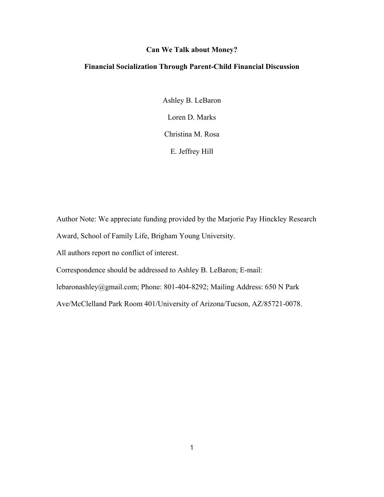# **Can We Talk about Money?**

# **Financial Socialization Through Parent-Child Financial Discussion**

Ashley B. LeBaron Loren D. Marks Christina M. Rosa E. Jeffrey Hill

Author Note: We appreciate funding provided by the Marjorie Pay Hinckley Research Award, School of Family Life, Brigham Young University.

All authors report no conflict of interest.

Correspondence should be addressed to Ashley B. LeBaron; E-mail:

lebaronashley@gmail.com; Phone: 801-404-8292; Mailing Address: 650 N Park

Ave/McClelland Park Room 401/University of Arizona/Tucson, AZ/85721-0078.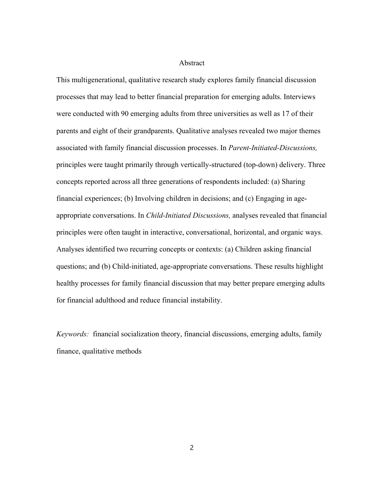#### Abstract

This multigenerational, qualitative research study explores family financial discussion processes that may lead to better financial preparation for emerging adults. Interviews were conducted with 90 emerging adults from three universities as well as 17 of their parents and eight of their grandparents. Qualitative analyses revealed two major themes associated with family financial discussion processes. In *Parent-Initiated-Discussions,* principles were taught primarily through vertically-structured (top-down) delivery. Three concepts reported across all three generations of respondents included: (a) Sharing financial experiences; (b) Involving children in decisions; and (c) Engaging in ageappropriate conversations. In *Child-Initiated Discussions,* analyses revealed that financial principles were often taught in interactive, conversational, horizontal, and organic ways. Analyses identified two recurring concepts or contexts: (a) Children asking financial questions; and (b) Child-initiated, age-appropriate conversations. These results highlight healthy processes for family financial discussion that may better prepare emerging adults for financial adulthood and reduce financial instability.

*Keywords:* financial socialization theory, financial discussions, emerging adults, family finance, qualitative methods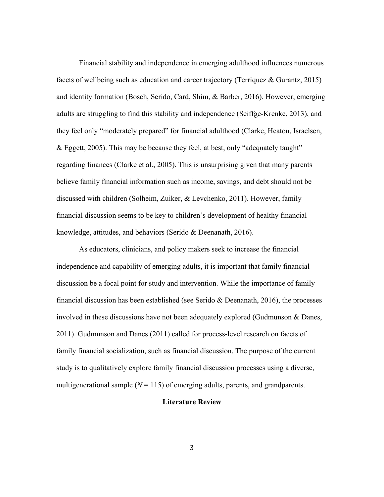Financial stability and independence in emerging adulthood influences numerous facets of wellbeing such as education and career trajectory (Terriquez & Gurantz, 2015) and identity formation (Bosch, Serido, Card, Shim, & Barber, 2016). However, emerging adults are struggling to find this stability and independence (Seiffge-Krenke, 2013), and they feel only "moderately prepared" for financial adulthood (Clarke, Heaton, Israelsen, & Eggett, 2005). This may be because they feel, at best, only "adequately taught" regarding finances (Clarke et al., 2005). This is unsurprising given that many parents believe family financial information such as income, savings, and debt should not be discussed with children (Solheim, Zuiker, & Levchenko, 2011). However, family financial discussion seems to be key to children's development of healthy financial knowledge, attitudes, and behaviors (Serido & Deenanath, 2016).

As educators, clinicians, and policy makers seek to increase the financial independence and capability of emerging adults, it is important that family financial discussion be a focal point for study and intervention. While the importance of family financial discussion has been established (see Serido & Deenanath, 2016), the processes involved in these discussions have not been adequately explored (Gudmunson & Danes, 2011). Gudmunson and Danes (2011) called for process-level research on facets of family financial socialization, such as financial discussion. The purpose of the current study is to qualitatively explore family financial discussion processes using a diverse, multigenerational sample  $(N = 115)$  of emerging adults, parents, and grandparents.

## **Literature Review**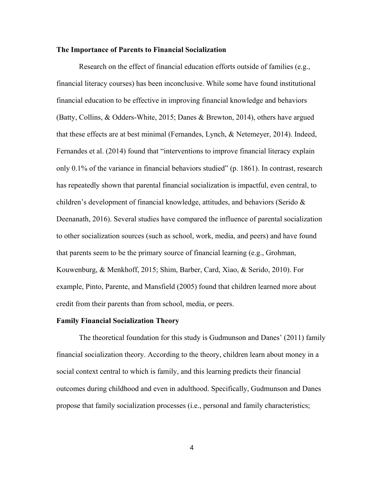#### **The Importance of Parents to Financial Socialization**

Research on the effect of financial education efforts outside of families (e.g., financial literacy courses) has been inconclusive. While some have found institutional financial education to be effective in improving financial knowledge and behaviors (Batty, Collins, & Odders-White, 2015; Danes & Brewton, 2014), others have argued that these effects are at best minimal (Fernandes, Lynch, & Netemeyer, 2014). Indeed, Fernandes et al. (2014) found that "interventions to improve financial literacy explain only 0.1% of the variance in financial behaviors studied" (p. 1861). In contrast, research has repeatedly shown that parental financial socialization is impactful, even central, to children's development of financial knowledge, attitudes, and behaviors (Serido & Deenanath, 2016). Several studies have compared the influence of parental socialization to other socialization sources (such as school, work, media, and peers) and have found that parents seem to be the primary source of financial learning (e.g., Grohman, Kouwenburg, & Menkhoff, 2015; Shim, Barber, Card, Xiao, & Serido, 2010). For example, Pinto, Parente, and Mansfield (2005) found that children learned more about credit from their parents than from school, media, or peers.

# **Family Financial Socialization Theory**

The theoretical foundation for this study is Gudmunson and Danes' (2011) family financial socialization theory. According to the theory, children learn about money in a social context central to which is family, and this learning predicts their financial outcomes during childhood and even in adulthood. Specifically, Gudmunson and Danes propose that family socialization processes (i.e., personal and family characteristics;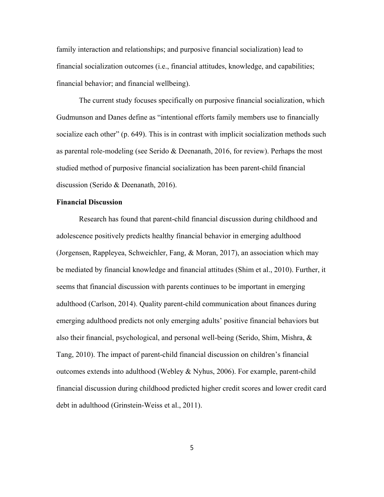family interaction and relationships; and purposive financial socialization) lead to financial socialization outcomes (i.e., financial attitudes, knowledge, and capabilities; financial behavior; and financial wellbeing).

The current study focuses specifically on purposive financial socialization, which Gudmunson and Danes define as "intentional efforts family members use to financially socialize each other" (p. 649). This is in contrast with implicit socialization methods such as parental role-modeling (see Serido & Deenanath, 2016, for review). Perhaps the most studied method of purposive financial socialization has been parent-child financial discussion (Serido & Deenanath, 2016).

## **Financial Discussion**

Research has found that parent-child financial discussion during childhood and adolescence positively predicts healthy financial behavior in emerging adulthood (Jorgensen, Rappleyea, Schweichler, Fang, & Moran, 2017), an association which may be mediated by financial knowledge and financial attitudes (Shim et al., 2010). Further, it seems that financial discussion with parents continues to be important in emerging adulthood (Carlson, 2014). Quality parent-child communication about finances during emerging adulthood predicts not only emerging adults' positive financial behaviors but also their financial, psychological, and personal well-being (Serido, Shim, Mishra, & Tang, 2010). The impact of parent-child financial discussion on children's financial outcomes extends into adulthood (Webley & Nyhus, 2006). For example, parent-child financial discussion during childhood predicted higher credit scores and lower credit card debt in adulthood (Grinstein-Weiss et al., 2011).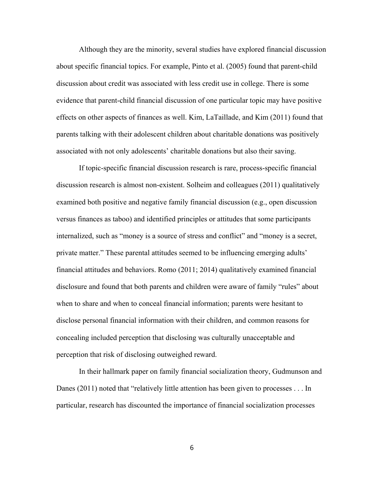Although they are the minority, several studies have explored financial discussion about specific financial topics. For example, Pinto et al. (2005) found that parent-child discussion about credit was associated with less credit use in college. There is some evidence that parent-child financial discussion of one particular topic may have positive effects on other aspects of finances as well. Kim, LaTaillade, and Kim (2011) found that parents talking with their adolescent children about charitable donations was positively associated with not only adolescents' charitable donations but also their saving.

If topic-specific financial discussion research is rare, process-specific financial discussion research is almost non-existent. Solheim and colleagues (2011) qualitatively examined both positive and negative family financial discussion (e.g., open discussion versus finances as taboo) and identified principles or attitudes that some participants internalized, such as "money is a source of stress and conflict" and "money is a secret, private matter." These parental attitudes seemed to be influencing emerging adults' financial attitudes and behaviors. Romo (2011; 2014) qualitatively examined financial disclosure and found that both parents and children were aware of family "rules" about when to share and when to conceal financial information; parents were hesitant to disclose personal financial information with their children, and common reasons for concealing included perception that disclosing was culturally unacceptable and perception that risk of disclosing outweighed reward.

In their hallmark paper on family financial socialization theory, Gudmunson and Danes (2011) noted that "relatively little attention has been given to processes . . . In particular, research has discounted the importance of financial socialization processes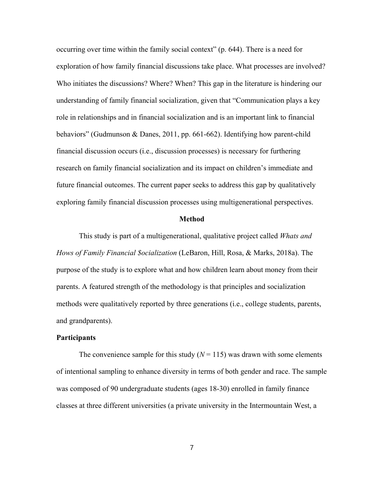occurring over time within the family social context" (p. 644). There is a need for exploration of how family financial discussions take place. What processes are involved? Who initiates the discussions? Where? When? This gap in the literature is hindering our understanding of family financial socialization, given that "Communication plays a key role in relationships and in financial socialization and is an important link to financial behaviors" (Gudmunson & Danes, 2011, pp. 661-662). Identifying how parent-child financial discussion occurs (i.e., discussion processes) is necessary for furthering research on family financial socialization and its impact on children's immediate and future financial outcomes. The current paper seeks to address this gap by qualitatively exploring family financial discussion processes using multigenerational perspectives.

#### **Method**

This study is part of a multigenerational, qualitative project called *Whats and Hows of Family Financial \$ocialization* (LeBaron, Hill, Rosa, & Marks, 2018a). The purpose of the study is to explore what and how children learn about money from their parents. A featured strength of the methodology is that principles and socialization methods were qualitatively reported by three generations (i.e., college students, parents, and grandparents).

# **Participants**

The convenience sample for this study  $(N = 115)$  was drawn with some elements of intentional sampling to enhance diversity in terms of both gender and race. The sample was composed of 90 undergraduate students (ages 18-30) enrolled in family finance classes at three different universities (a private university in the Intermountain West, a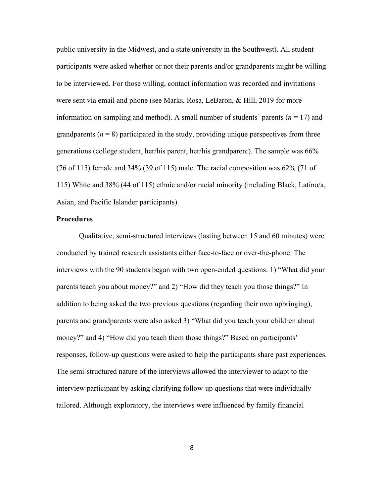public university in the Midwest, and a state university in the Southwest). All student participants were asked whether or not their parents and/or grandparents might be willing to be interviewed. For those willing, contact information was recorded and invitations were sent via email and phone (see Marks, Rosa, LeBaron, & Hill, 2019 for more information on sampling and method). A small number of students' parents ( $n = 17$ ) and grandparents  $(n = 8)$  participated in the study, providing unique perspectives from three generations (college student, her/his parent, her/his grandparent). The sample was 66% (76 of 115) female and 34% (39 of 115) male. The racial composition was 62% (71 of 115) White and 38% (44 of 115) ethnic and/or racial minority (including Black, Latino/a, Asian, and Pacific Islander participants).

### **Procedures**

Qualitative, semi-structured interviews (lasting between 15 and 60 minutes) were conducted by trained research assistants either face-to-face or over-the-phone. The interviews with the 90 students began with two open-ended questions: 1) "What did your parents teach you about money?" and 2) "How did they teach you those things?" In addition to being asked the two previous questions (regarding their own upbringing), parents and grandparents were also asked 3) "What did you teach your children about money?" and 4) "How did you teach them those things?" Based on participants' responses, follow-up questions were asked to help the participants share past experiences. The semi-structured nature of the interviews allowed the interviewer to adapt to the interview participant by asking clarifying follow-up questions that were individually tailored. Although exploratory, the interviews were influenced by family financial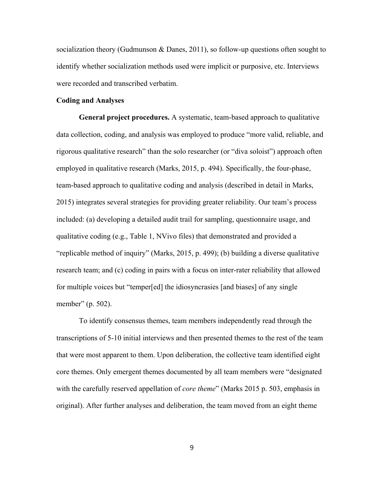socialization theory (Gudmunson & Danes, 2011), so follow-up questions often sought to identify whether socialization methods used were implicit or purposive, etc. Interviews were recorded and transcribed verbatim.

### **Coding and Analyses**

**General project procedures.** A systematic, team-based approach to qualitative data collection, coding, and analysis was employed to produce "more valid, reliable, and rigorous qualitative research" than the solo researcher (or "diva soloist") approach often employed in qualitative research (Marks, 2015, p. 494). Specifically, the four-phase, team-based approach to qualitative coding and analysis (described in detail in Marks, 2015) integrates several strategies for providing greater reliability. Our team's process included: (a) developing a detailed audit trail for sampling, questionnaire usage, and qualitative coding (e.g., Table 1, NVivo files) that demonstrated and provided a "replicable method of inquiry" (Marks, 2015, p. 499); (b) building a diverse qualitative research team; and (c) coding in pairs with a focus on inter-rater reliability that allowed for multiple voices but "temper[ed] the idiosyncrasies [and biases] of any single member" (p. 502).

To identify consensus themes, team members independently read through the transcriptions of 5-10 initial interviews and then presented themes to the rest of the team that were most apparent to them. Upon deliberation, the collective team identified eight core themes. Only emergent themes documented by all team members were "designated with the carefully reserved appellation of *core theme*" (Marks 2015 p. 503, emphasis in original). After further analyses and deliberation, the team moved from an eight theme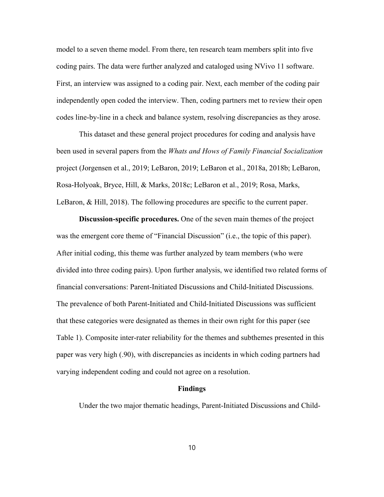model to a seven theme model. From there, ten research team members split into five coding pairs. The data were further analyzed and cataloged using NVivo 11 software. First, an interview was assigned to a coding pair. Next, each member of the coding pair independently open coded the interview. Then, coding partners met to review their open codes line-by-line in a check and balance system, resolving discrepancies as they arose.

This dataset and these general project procedures for coding and analysis have been used in several papers from the *Whats and Hows of Family Financial \$ocialization*  project (Jorgensen et al., 2019; LeBaron, 2019; LeBaron et al., 2018a, 2018b; LeBaron, Rosa-Holyoak, Bryce, Hill, & Marks, 2018c; LeBaron et al., 2019; Rosa, Marks, LeBaron, & Hill, 2018). The following procedures are specific to the current paper.

**Discussion-specific procedures.** One of the seven main themes of the project was the emergent core theme of "Financial Discussion" (i.e., the topic of this paper). After initial coding, this theme was further analyzed by team members (who were divided into three coding pairs). Upon further analysis, we identified two related forms of financial conversations: Parent-Initiated Discussions and Child-Initiated Discussions. The prevalence of both Parent-Initiated and Child-Initiated Discussions was sufficient that these categories were designated as themes in their own right for this paper (see Table 1). Composite inter-rater reliability for the themes and subthemes presented in this paper was very high (.90), with discrepancies as incidents in which coding partners had varying independent coding and could not agree on a resolution.

## **Findings**

Under the two major thematic headings, Parent-Initiated Discussions and Child-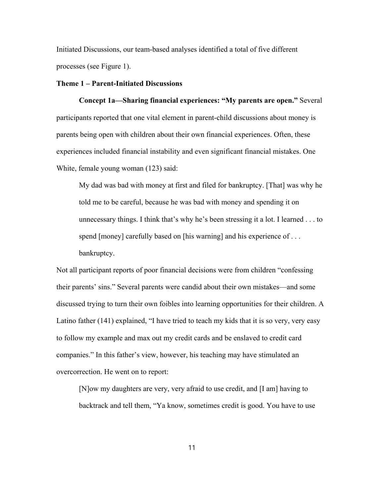Initiated Discussions, our team-based analyses identified a total of five different processes (see Figure 1).

# **Theme 1 – Parent-Initiated Discussions**

**Concept 1a—Sharing financial experiences: "My parents are open."** Several participants reported that one vital element in parent-child discussions about money is parents being open with children about their own financial experiences. Often, these experiences included financial instability and even significant financial mistakes. One White, female young woman (123) said:

My dad was bad with money at first and filed for bankruptcy. [That] was why he told me to be careful, because he was bad with money and spending it on unnecessary things. I think that's why he's been stressing it a lot. I learned . . . to spend [money] carefully based on [his warning] and his experience of ... bankruptcy.

Not all participant reports of poor financial decisions were from children "confessing their parents' sins." Several parents were candid about their own mistakes—and some discussed trying to turn their own foibles into learning opportunities for their children. A Latino father (141) explained, "I have tried to teach my kids that it is so very, very easy to follow my example and max out my credit cards and be enslaved to credit card companies." In this father's view, however, his teaching may have stimulated an overcorrection. He went on to report:

[N]ow my daughters are very, very afraid to use credit, and [I am] having to backtrack and tell them, "Ya know, sometimes credit is good. You have to use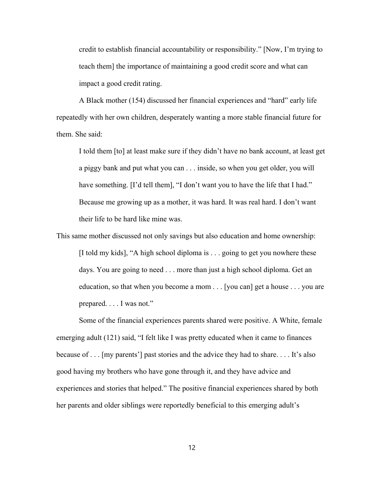credit to establish financial accountability or responsibility." [Now, I'm trying to teach them] the importance of maintaining a good credit score and what can impact a good credit rating.

A Black mother (154) discussed her financial experiences and "hard" early life repeatedly with her own children, desperately wanting a more stable financial future for them. She said:

I told them [to] at least make sure if they didn't have no bank account, at least get a piggy bank and put what you can . . . inside, so when you get older, you will have something. [I'd tell them], "I don't want you to have the life that I had." Because me growing up as a mother, it was hard. It was real hard. I don't want their life to be hard like mine was.

This same mother discussed not only savings but also education and home ownership: [I told my kids], "A high school diploma is . . . going to get you nowhere these days. You are going to need . . . more than just a high school diploma. Get an education, so that when you become a mom  $\ldots$  [you can] get a house  $\ldots$  you are prepared. . . . I was not."

Some of the financial experiences parents shared were positive. A White, female emerging adult (121) said, "I felt like I was pretty educated when it came to finances because of . . . [my parents'] past stories and the advice they had to share. . . . It's also good having my brothers who have gone through it, and they have advice and experiences and stories that helped." The positive financial experiences shared by both her parents and older siblings were reportedly beneficial to this emerging adult's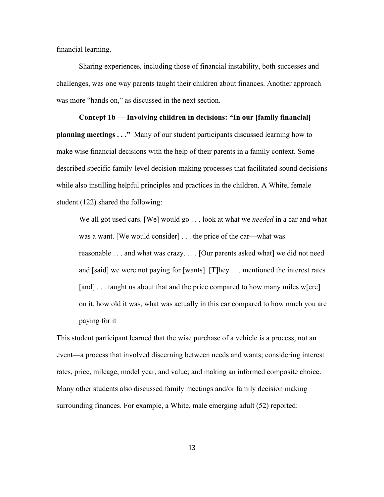financial learning.

Sharing experiences, including those of financial instability, both successes and challenges, was one way parents taught their children about finances. Another approach was more "hands on," as discussed in the next section.

# **Concept 1b — Involving children in decisions: "In our [family financial] planning meetings . . ."** Many of our student participants discussed learning how to make wise financial decisions with the help of their parents in a family context. Some described specific family-level decision-making processes that facilitated sound decisions while also instilling helpful principles and practices in the children. A White, female student (122) shared the following:

We all got used cars. [We] would go . . . look at what we *needed* in a car and what was a want. [We would consider] . . . the price of the car—what was reasonable . . . and what was crazy. . . . [Our parents asked what] we did not need and [said] we were not paying for [wants]. [T]hey . . . mentioned the interest rates [and] . . . taught us about that and the price compared to how many miles w[ere] on it, how old it was, what was actually in this car compared to how much you are paying for it

This student participant learned that the wise purchase of a vehicle is a process, not an event—a process that involved discerning between needs and wants; considering interest rates, price, mileage, model year, and value; and making an informed composite choice. Many other students also discussed family meetings and/or family decision making surrounding finances. For example, a White, male emerging adult (52) reported: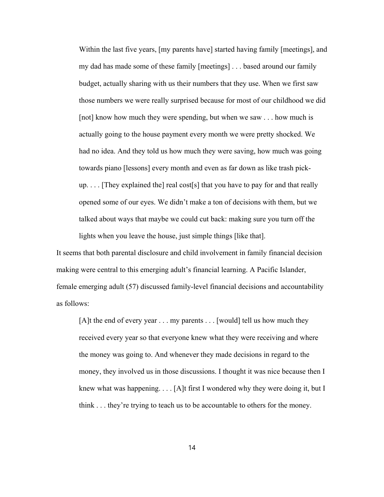Within the last five years, [my parents have] started having family [meetings], and my dad has made some of these family [meetings] . . . based around our family budget, actually sharing with us their numbers that they use. When we first saw those numbers we were really surprised because for most of our childhood we did [not] know how much they were spending, but when we saw . . . how much is actually going to the house payment every month we were pretty shocked. We had no idea. And they told us how much they were saving, how much was going towards piano [lessons] every month and even as far down as like trash pickup. . . . [They explained the] real cost[s] that you have to pay for and that really opened some of our eyes. We didn't make a ton of decisions with them, but we talked about ways that maybe we could cut back: making sure you turn off the lights when you leave the house, just simple things [like that].

It seems that both parental disclosure and child involvement in family financial decision making were central to this emerging adult's financial learning. A Pacific Islander, female emerging adult (57) discussed family-level financial decisions and accountability as follows:

[A]t the end of every year . . . my parents . . . [would] tell us how much they received every year so that everyone knew what they were receiving and where the money was going to. And whenever they made decisions in regard to the money, they involved us in those discussions. I thought it was nice because then I knew what was happening. . . . [A]t first I wondered why they were doing it, but I think . . . they're trying to teach us to be accountable to others for the money.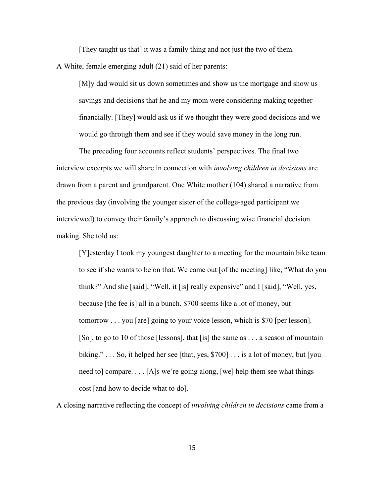[They taught us that] it was a family thing and not just the two of them.

A White, female emerging adult (21) said of her parents:

[M]y dad would sit us down sometimes and show us the mortgage and show us savings and decisions that he and my mom were considering making together financially. [They] would ask us if we thought they were good decisions and we would go through them and see if they would save money in the long run.

The preceding four accounts reflect students' perspectives. The final two interview excerpts we will share in connection with *involving children in decisions* are drawn from a parent and grandparent. One White mother (104) shared a narrative from the previous day (involving the younger sister of the college-aged participant we interviewed) to convey their family's approach to discussing wise financial decision making. She told us:

[Y]esterday I took my youngest daughter to a meeting for the mountain bike team to see if she wants to be on that. We came out [of the meeting] like, "What do you think?" And she [said], "Well, it [is] really expensive" and I [said], "Well, yes, because [the fee is] all in a bunch. \$700 seems like a lot of money, but tomorrow . . . you [are] going to your voice lesson, which is \$70 [per lesson]. [So], to go to 10 of those [lessons], that [is] the same as . . . a season of mountain biking."... So, it helped her see [that, yes,  $$700]$ ... is a lot of money, but [you] need to] compare. . . . [A]s we're going along, [we] help them see what things cost [and how to decide what to do].

A closing narrative reflecting the concept of *involving children in decisions* came from a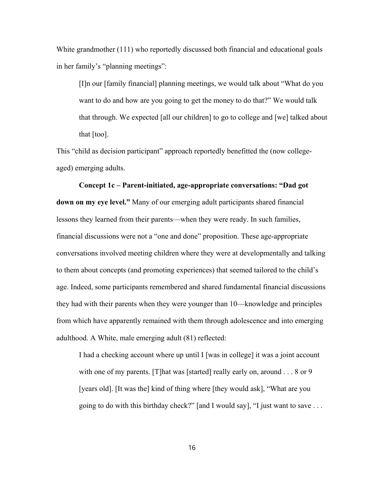White grandmother (111) who reportedly discussed both financial and educational goals in her family's "planning meetings":

[I]n our [family financial] planning meetings, we would talk about "What do you want to do and how are you going to get the money to do that?" We would talk that through. We expected [all our children] to go to college and [we] talked about that [too].

This "child as decision participant" approach reportedly benefitted the (now collegeaged) emerging adults.

# **Concept 1c – Parent-initiated, age-appropriate conversations: "Dad got down on my eye level."** Many of our emerging adult participants shared financial lessons they learned from their parents—when they were ready. In such families, financial discussions were not a "one and done" proposition. These age-appropriate conversations involved meeting children where they were at developmentally and talking to them about concepts (and promoting experiences) that seemed tailored to the child's age. Indeed, some participants remembered and shared fundamental financial discussions they had with their parents when they were younger than 10—knowledge and principles from which have apparently remained with them through adolescence and into emerging adulthood. A White, male emerging adult (81) reflected:

I had a checking account where up until I [was in college] it was a joint account with one of my parents. [T]hat was [started] really early on, around . . . 8 or 9 [years old]. [It was the] kind of thing where [they would ask], "What are you going to do with this birthday check?" [and I would say], "I just want to save  $\dots$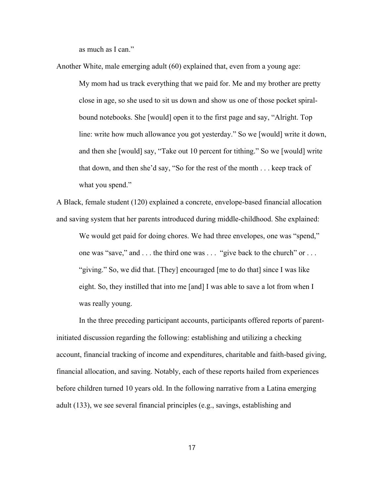as much as I can."

Another White, male emerging adult (60) explained that, even from a young age: My mom had us track everything that we paid for. Me and my brother are pretty close in age, so she used to sit us down and show us one of those pocket spiralbound notebooks. She [would] open it to the first page and say, "Alright. Top line: write how much allowance you got yesterday." So we [would] write it down, and then she [would] say, "Take out 10 percent for tithing." So we [would] write that down, and then she'd say, "So for the rest of the month . . . keep track of what you spend."

A Black, female student (120) explained a concrete, envelope-based financial allocation and saving system that her parents introduced during middle-childhood. She explained:

We would get paid for doing chores. We had three envelopes, one was "spend," one was "save," and . . . the third one was . . . "give back to the church" or . . . "giving." So, we did that. [They] encouraged [me to do that] since I was like eight. So, they instilled that into me [and] I was able to save a lot from when I was really young.

In the three preceding participant accounts, participants offered reports of parentinitiated discussion regarding the following: establishing and utilizing a checking account, financial tracking of income and expenditures, charitable and faith-based giving, financial allocation, and saving. Notably, each of these reports hailed from experiences before children turned 10 years old. In the following narrative from a Latina emerging adult (133), we see several financial principles (e.g., savings, establishing and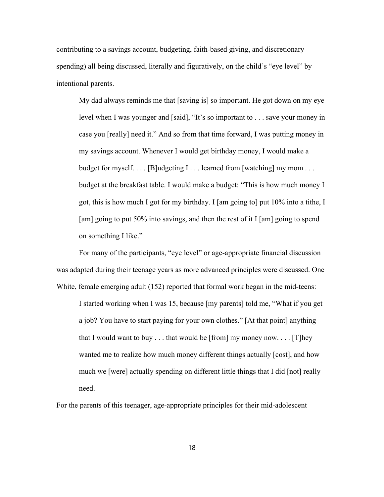contributing to a savings account, budgeting, faith-based giving, and discretionary spending) all being discussed, literally and figuratively, on the child's "eye level" by intentional parents.

My dad always reminds me that [saving is] so important. He got down on my eye level when I was younger and [said], "It's so important to . . . save your money in case you [really] need it." And so from that time forward, I was putting money in my savings account. Whenever I would get birthday money, I would make a budget for myself.  $\dots$  [B]udgeting I  $\dots$  learned from [watching] my mom  $\dots$ budget at the breakfast table. I would make a budget: "This is how much money I got, this is how much I got for my birthday. I [am going to] put 10% into a tithe, I [am] going to put 50% into savings, and then the rest of it I [am] going to spend on something I like."

For many of the participants, "eye level" or age-appropriate financial discussion was adapted during their teenage years as more advanced principles were discussed. One White, female emerging adult (152) reported that formal work began in the mid-teens:

I started working when I was 15, because [my parents] told me, "What if you get a job? You have to start paying for your own clothes." [At that point] anything that I would want to buy  $\dots$  that would be [from] my money now.  $\dots$  [T]hey wanted me to realize how much money different things actually [cost], and how much we [were] actually spending on different little things that I did [not] really need.

For the parents of this teenager, age-appropriate principles for their mid-adolescent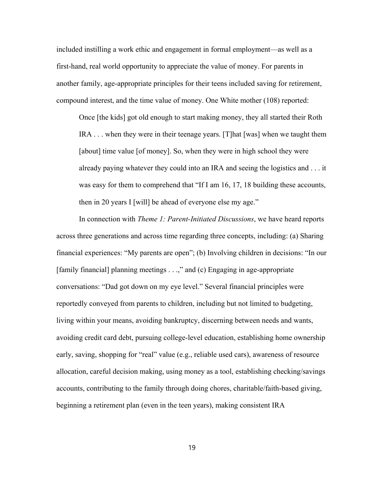included instilling a work ethic and engagement in formal employment—as well as a first-hand, real world opportunity to appreciate the value of money. For parents in another family, age-appropriate principles for their teens included saving for retirement, compound interest, and the time value of money. One White mother (108) reported:

Once [the kids] got old enough to start making money, they all started their Roth IRA . . . when they were in their teenage years. [T]hat [was] when we taught them [about] time value [of money]. So, when they were in high school they were already paying whatever they could into an IRA and seeing the logistics and . . . it was easy for them to comprehend that "If I am 16, 17, 18 building these accounts, then in 20 years I [will] be ahead of everyone else my age."

In connection with *Theme 1: Parent-Initiated Discussions*, we have heard reports across three generations and across time regarding three concepts, including: (a) Sharing financial experiences: "My parents are open"; (b) Involving children in decisions: "In our [family financial] planning meetings . . .," and (c) Engaging in age-appropriate conversations: "Dad got down on my eye level." Several financial principles were reportedly conveyed from parents to children, including but not limited to budgeting, living within your means, avoiding bankruptcy, discerning between needs and wants, avoiding credit card debt, pursuing college-level education, establishing home ownership early, saving, shopping for "real" value (e.g., reliable used cars), awareness of resource allocation, careful decision making, using money as a tool, establishing checking/savings accounts, contributing to the family through doing chores, charitable/faith-based giving, beginning a retirement plan (even in the teen years), making consistent IRA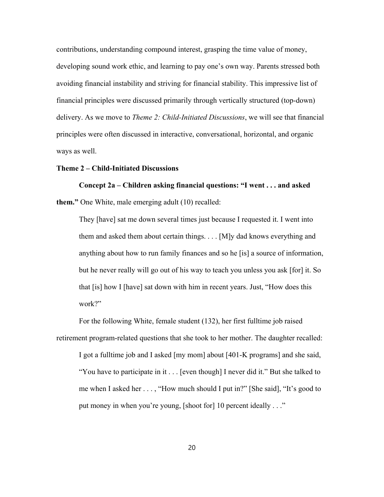contributions, understanding compound interest, grasping the time value of money, developing sound work ethic, and learning to pay one's own way. Parents stressed both avoiding financial instability and striving for financial stability. This impressive list of financial principles were discussed primarily through vertically structured (top-down) delivery. As we move to *Theme 2: Child-Initiated Discussions*, we will see that financial principles were often discussed in interactive, conversational, horizontal, and organic ways as well.

### **Theme 2 – Child-Initiated Discussions**

**Concept 2a – Children asking financial questions: "I went . . . and asked them."** One White, male emerging adult (10) recalled:

They [have] sat me down several times just because I requested it. I went into them and asked them about certain things. . . . [M]y dad knows everything and anything about how to run family finances and so he [is] a source of information, but he never really will go out of his way to teach you unless you ask [for] it. So that [is] how I [have] sat down with him in recent years. Just, "How does this work?"

For the following White, female student (132), her first fulltime job raised retirement program-related questions that she took to her mother. The daughter recalled: I got a fulltime job and I asked [my mom] about [401-K programs] and she said, "You have to participate in it . . . [even though] I never did it." But she talked to me when I asked her . . . , "How much should I put in?" [She said], "It's good to put money in when you're young, [shoot for] 10 percent ideally . . ."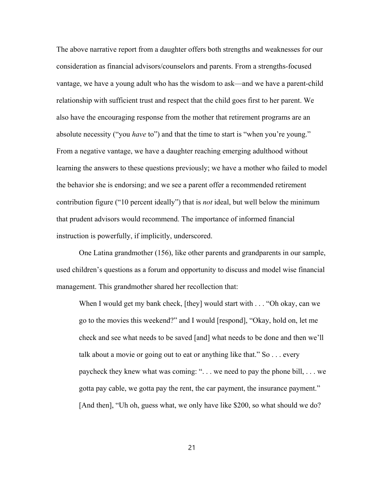The above narrative report from a daughter offers both strengths and weaknesses for our consideration as financial advisors/counselors and parents. From a strengths-focused vantage, we have a young adult who has the wisdom to ask—and we have a parent-child relationship with sufficient trust and respect that the child goes first to her parent. We also have the encouraging response from the mother that retirement programs are an absolute necessity ("you *have* to") and that the time to start is "when you're young." From a negative vantage, we have a daughter reaching emerging adulthood without learning the answers to these questions previously; we have a mother who failed to model the behavior she is endorsing; and we see a parent offer a recommended retirement contribution figure ("10 percent ideally") that is *not* ideal, but well below the minimum that prudent advisors would recommend. The importance of informed financial instruction is powerfully, if implicitly, underscored.

One Latina grandmother (156), like other parents and grandparents in our sample, used children's questions as a forum and opportunity to discuss and model wise financial management. This grandmother shared her recollection that:

When I would get my bank check, [they] would start with . . . "Oh okay, can we go to the movies this weekend?" and I would [respond], "Okay, hold on, let me check and see what needs to be saved [and] what needs to be done and then we'll talk about a movie or going out to eat or anything like that." So . . . every paycheck they knew what was coming: ". . . we need to pay the phone bill, . . . we gotta pay cable, we gotta pay the rent, the car payment, the insurance payment." [And then], "Uh oh, guess what, we only have like \$200, so what should we do?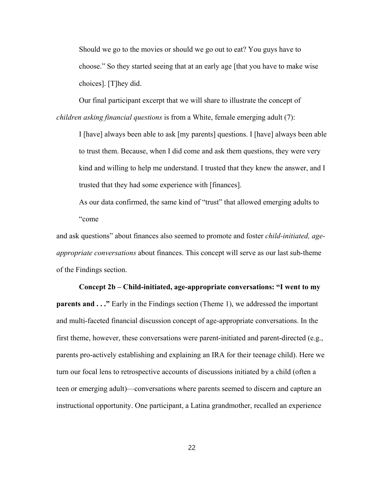Should we go to the movies or should we go out to eat? You guys have to choose." So they started seeing that at an early age [that you have to make wise choices]. [T]hey did.

Our final participant excerpt that we will share to illustrate the concept of *children asking financial questions* is from a White, female emerging adult (7):

I [have] always been able to ask [my parents] questions. I [have] always been able to trust them. Because, when I did come and ask them questions, they were very kind and willing to help me understand. I trusted that they knew the answer, and I trusted that they had some experience with [finances].

As our data confirmed, the same kind of "trust" that allowed emerging adults to "come

and ask questions" about finances also seemed to promote and foster *child-initiated, ageappropriate conversations* about finances. This concept will serve as our last sub-theme of the Findings section.

# **Concept 2b – Child-initiated, age-appropriate conversations: "I went to my parents and ...**" Early in the Findings section (Theme 1), we addressed the important and multi-faceted financial discussion concept of age-appropriate conversations. In the first theme, however, these conversations were parent-initiated and parent-directed (e.g., parents pro-actively establishing and explaining an IRA for their teenage child). Here we turn our focal lens to retrospective accounts of discussions initiated by a child (often a teen or emerging adult)—conversations where parents seemed to discern and capture an instructional opportunity. One participant, a Latina grandmother, recalled an experience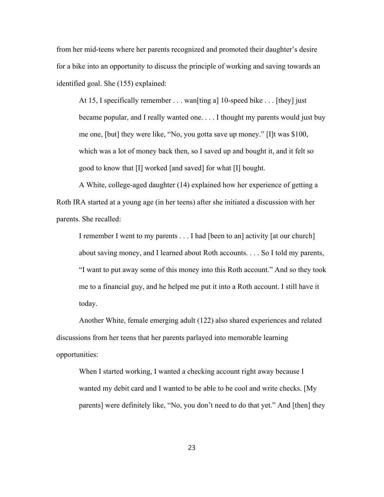from her mid-teens where her parents recognized and promoted their daughter's desire for a bike into an opportunity to discuss the principle of working and saving towards an identified goal. She (155) explained:

At 15, I specifically remember . . . wan[ting a] 10-speed bike . . . [they] just became popular, and I really wanted one. . . . I thought my parents would just buy me one, [but] they were like, "No, you gotta save up money." [I]t was \$100, which was a lot of money back then, so I saved up and bought it, and it felt so good to know that [I] worked [and saved] for what [I] bought.

A White, college-aged daughter (14) explained how her experience of getting a Roth IRA started at a young age (in her teens) after she initiated a discussion with her parents. She recalled:

I remember I went to my parents . . . I had [been to an] activity [at our church] about saving money, and I learned about Roth accounts. . . . So I told my parents, "I want to put away some of this money into this Roth account." And so they took me to a financial guy, and he helped me put it into a Roth account. I still have it today.

Another White, female emerging adult (122) also shared experiences and related discussions from her teens that her parents parlayed into memorable learning opportunities:

When I started working, I wanted a checking account right away because I wanted my debit card and I wanted to be able to be cool and write checks. [My parents] were definitely like, "No, you don't need to do that yet." And [then] they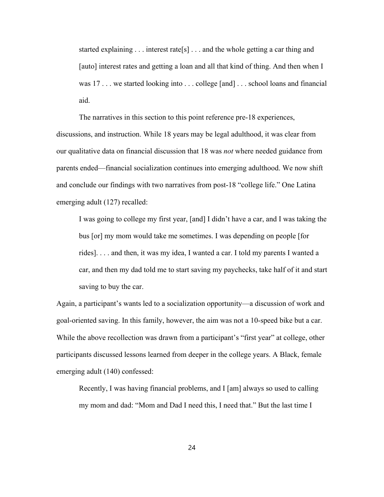started explaining  $\ldots$  interest rate [s]  $\ldots$  and the whole getting a car thing and [auto] interest rates and getting a loan and all that kind of thing. And then when I was 17... we started looking into ... college [and] ... school loans and financial aid.

The narratives in this section to this point reference pre-18 experiences, discussions, and instruction. While 18 years may be legal adulthood, it was clear from our qualitative data on financial discussion that 18 was *not* where needed guidance from parents ended—financial socialization continues into emerging adulthood. We now shift and conclude our findings with two narratives from post-18 "college life." One Latina emerging adult (127) recalled:

I was going to college my first year, [and] I didn't have a car, and I was taking the bus [or] my mom would take me sometimes. I was depending on people [for rides]. . . . and then, it was my idea, I wanted a car. I told my parents I wanted a car, and then my dad told me to start saving my paychecks, take half of it and start saving to buy the car.

Again, a participant's wants led to a socialization opportunity—a discussion of work and goal-oriented saving. In this family, however, the aim was not a 10-speed bike but a car. While the above recollection was drawn from a participant's "first year" at college, other participants discussed lessons learned from deeper in the college years. A Black, female emerging adult (140) confessed:

Recently, I was having financial problems, and I [am] always so used to calling my mom and dad: "Mom and Dad I need this, I need that." But the last time I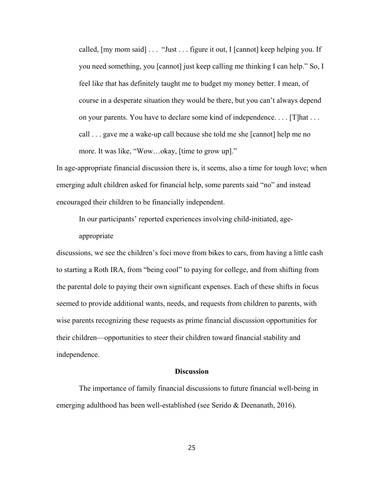called, [my mom said] . . . "Just . . . figure it out, I [cannot] keep helping you. If you need something, you [cannot] just keep calling me thinking I can help." So, I feel like that has definitely taught me to budget my money better. I mean, of course in a desperate situation they would be there, but you can't always depend on your parents. You have to declare some kind of independence. . . . [T]hat . . . call . . . gave me a wake-up call because she told me she [cannot] help me no more. It was like, "Wow…okay, [time to grow up]."

In age-appropriate financial discussion there is, it seems, also a time for tough love; when emerging adult children asked for financial help, some parents said "no" and instead encouraged their children to be financially independent.

In our participants' reported experiences involving child-initiated, ageappropriate

discussions, we see the children's foci move from bikes to cars, from having a little cash to starting a Roth IRA, from "being cool" to paying for college, and from shifting from the parental dole to paying their own significant expenses. Each of these shifts in focus seemed to provide additional wants, needs, and requests from children to parents, with wise parents recognizing these requests as prime financial discussion opportunities for their children—opportunities to steer their children toward financial stability and independence.

## **Discussion**

The importance of family financial discussions to future financial well-being in emerging adulthood has been well-established (see Serido & Deenanath, 2016).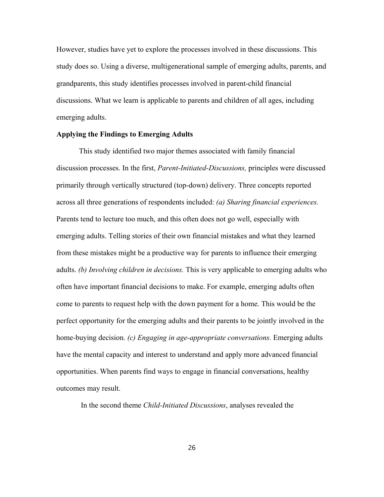However, studies have yet to explore the processes involved in these discussions. This study does so. Using a diverse, multigenerational sample of emerging adults, parents, and grandparents, this study identifies processes involved in parent-child financial discussions. What we learn is applicable to parents and children of all ages, including emerging adults.

# **Applying the Findings to Emerging Adults**

This study identified two major themes associated with family financial discussion processes. In the first, *Parent-Initiated-Discussions,* principles were discussed primarily through vertically structured (top-down) delivery. Three concepts reported across all three generations of respondents included: *(a) Sharing financial experiences.* Parents tend to lecture too much, and this often does not go well, especially with emerging adults. Telling stories of their own financial mistakes and what they learned from these mistakes might be a productive way for parents to influence their emerging adults. *(b) Involving children in decisions.* This is very applicable to emerging adults who often have important financial decisions to make. For example, emerging adults often come to parents to request help with the down payment for a home. This would be the perfect opportunity for the emerging adults and their parents to be jointly involved in the home-buying decision. *(c) Engaging in age-appropriate conversations.* Emerging adults have the mental capacity and interest to understand and apply more advanced financial opportunities. When parents find ways to engage in financial conversations, healthy outcomes may result.

In the second theme *Child-Initiated Discussions*, analyses revealed the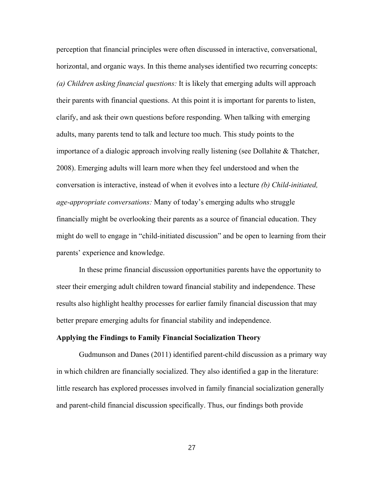perception that financial principles were often discussed in interactive, conversational, horizontal, and organic ways. In this theme analyses identified two recurring concepts: *(a) Children asking financial questions:* It is likely that emerging adults will approach their parents with financial questions. At this point it is important for parents to listen, clarify, and ask their own questions before responding. When talking with emerging adults, many parents tend to talk and lecture too much. This study points to the importance of a dialogic approach involving really listening (see Dollahite & Thatcher, 2008). Emerging adults will learn more when they feel understood and when the conversation is interactive, instead of when it evolves into a lecture *(b) Child-initiated, age-appropriate conversations:* Many of today's emerging adults who struggle financially might be overlooking their parents as a source of financial education. They might do well to engage in "child-initiated discussion" and be open to learning from their parents' experience and knowledge.

In these prime financial discussion opportunities parents have the opportunity to steer their emerging adult children toward financial stability and independence. These results also highlight healthy processes for earlier family financial discussion that may better prepare emerging adults for financial stability and independence.

# **Applying the Findings to Family Financial Socialization Theory**

Gudmunson and Danes (2011) identified parent-child discussion as a primary way in which children are financially socialized. They also identified a gap in the literature: little research has explored processes involved in family financial socialization generally and parent-child financial discussion specifically. Thus, our findings both provide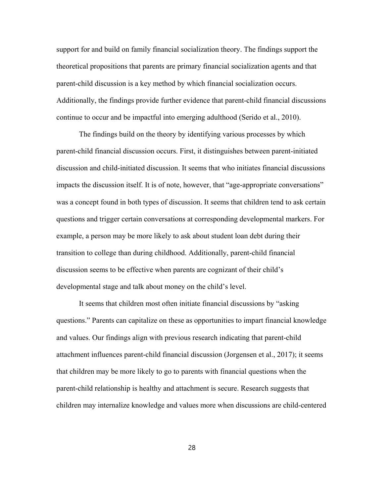support for and build on family financial socialization theory. The findings support the theoretical propositions that parents are primary financial socialization agents and that parent-child discussion is a key method by which financial socialization occurs. Additionally, the findings provide further evidence that parent-child financial discussions continue to occur and be impactful into emerging adulthood (Serido et al., 2010).

The findings build on the theory by identifying various processes by which parent-child financial discussion occurs. First, it distinguishes between parent-initiated discussion and child-initiated discussion. It seems that who initiates financial discussions impacts the discussion itself. It is of note, however, that "age-appropriate conversations" was a concept found in both types of discussion. It seems that children tend to ask certain questions and trigger certain conversations at corresponding developmental markers. For example, a person may be more likely to ask about student loan debt during their transition to college than during childhood. Additionally, parent-child financial discussion seems to be effective when parents are cognizant of their child's developmental stage and talk about money on the child's level.

It seems that children most often initiate financial discussions by "asking questions." Parents can capitalize on these as opportunities to impart financial knowledge and values. Our findings align with previous research indicating that parent-child attachment influences parent-child financial discussion (Jorgensen et al., 2017); it seems that children may be more likely to go to parents with financial questions when the parent-child relationship is healthy and attachment is secure. Research suggests that children may internalize knowledge and values more when discussions are child-centered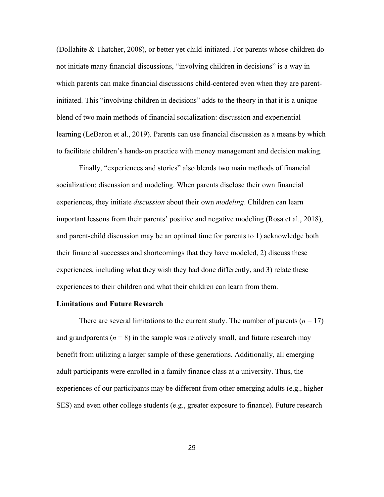(Dollahite & Thatcher, 2008), or better yet child-initiated. For parents whose children do not initiate many financial discussions, "involving children in decisions" is a way in which parents can make financial discussions child-centered even when they are parentinitiated. This "involving children in decisions" adds to the theory in that it is a unique blend of two main methods of financial socialization: discussion and experiential learning (LeBaron et al., 2019). Parents can use financial discussion as a means by which to facilitate children's hands-on practice with money management and decision making.

Finally, "experiences and stories" also blends two main methods of financial socialization: discussion and modeling. When parents disclose their own financial experiences, they initiate *discussion* about their own *modeling*. Children can learn important lessons from their parents' positive and negative modeling (Rosa et al., 2018), and parent-child discussion may be an optimal time for parents to 1) acknowledge both their financial successes and shortcomings that they have modeled, 2) discuss these experiences, including what they wish they had done differently, and 3) relate these experiences to their children and what their children can learn from them.

# **Limitations and Future Research**

There are several limitations to the current study. The number of parents  $(n = 17)$ and grandparents  $(n = 8)$  in the sample was relatively small, and future research may benefit from utilizing a larger sample of these generations. Additionally, all emerging adult participants were enrolled in a family finance class at a university. Thus, the experiences of our participants may be different from other emerging adults (e.g., higher SES) and even other college students (e.g., greater exposure to finance). Future research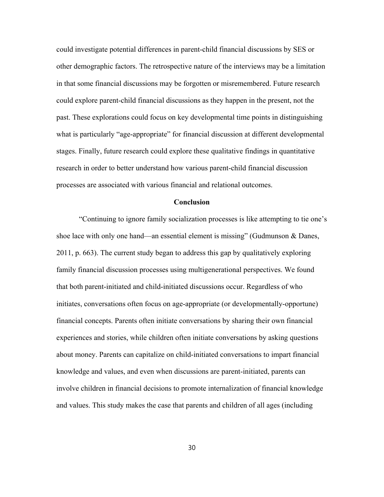could investigate potential differences in parent-child financial discussions by SES or other demographic factors. The retrospective nature of the interviews may be a limitation in that some financial discussions may be forgotten or misremembered. Future research could explore parent-child financial discussions as they happen in the present, not the past. These explorations could focus on key developmental time points in distinguishing what is particularly "age-appropriate" for financial discussion at different developmental stages. Finally, future research could explore these qualitative findings in quantitative research in order to better understand how various parent-child financial discussion processes are associated with various financial and relational outcomes.

### **Conclusion**

"Continuing to ignore family socialization processes is like attempting to tie one's shoe lace with only one hand—an essential element is missing" (Gudmunson & Danes, 2011, p. 663). The current study began to address this gap by qualitatively exploring family financial discussion processes using multigenerational perspectives. We found that both parent-initiated and child-initiated discussions occur. Regardless of who initiates, conversations often focus on age-appropriate (or developmentally-opportune) financial concepts. Parents often initiate conversations by sharing their own financial experiences and stories, while children often initiate conversations by asking questions about money. Parents can capitalize on child-initiated conversations to impart financial knowledge and values, and even when discussions are parent-initiated, parents can involve children in financial decisions to promote internalization of financial knowledge and values. This study makes the case that parents and children of all ages (including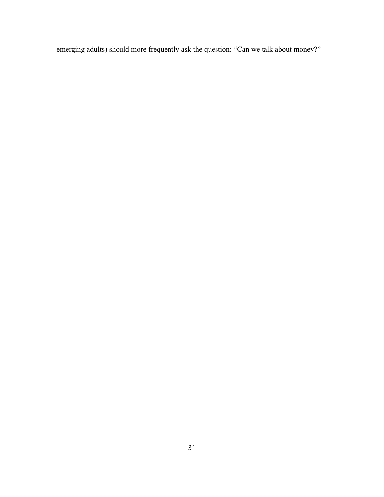emerging adults) should more frequently ask the question: "Can we talk about money?"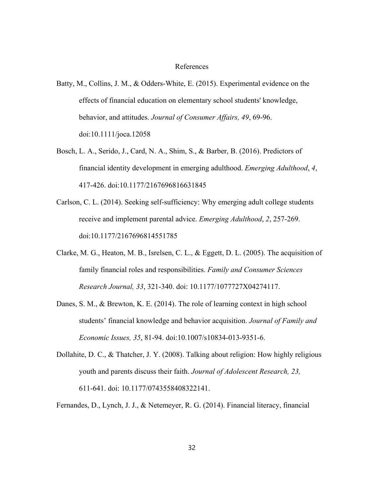### References

- Batty, M., Collins, J. M., & Odders-White, E. (2015). Experimental evidence on the effects of financial education on elementary school students' knowledge, behavior, and attitudes. *Journal of Consumer Affairs, 49*, 69-96. doi:10.1111/joca.12058
- Bosch, L. A., Serido, J., Card, N. A., Shim, S., & Barber, B. (2016). Predictors of financial identity development in emerging adulthood. *Emerging Adulthood*, *4*, 417-426. doi:10.1177/2167696816631845
- Carlson, C. L. (2014). Seeking self-sufficiency: Why emerging adult college students receive and implement parental advice. *Emerging Adulthood*, *2*, 257-269. doi:10.1177/2167696814551785
- Clarke, M. G., Heaton, M. B., Isrelsen, C. L., & Eggett, D. L. (2005). The acquisition of family financial roles and responsibilities. *Family and Consumer Sciences Research Journal, 33*, 321-340. doi: 10.1177/1077727X04274117.
- Danes, S. M., & Brewton, K. E. (2014). The role of learning context in high school students' financial knowledge and behavior acquisition. *Journal of Family and Economic Issues, 35*, 81-94. doi:10.1007/s10834-013-9351-6.
- Dollahite, D. C., & Thatcher, J. Y. (2008). Talking about religion: How highly religious youth and parents discuss their faith. *Journal of Adolescent Research, 23,*  611-641. doi: 10.1177/0743558408322141.

Fernandes, D., Lynch, J. J., & Netemeyer, R. G. (2014). Financial literacy, financial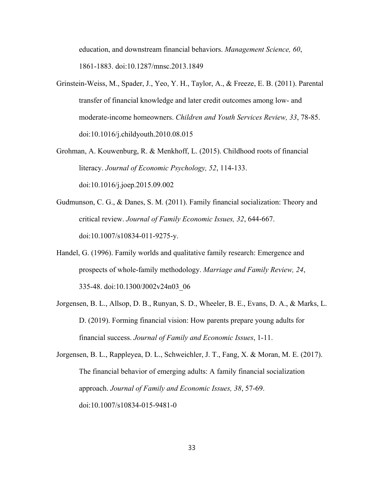education, and downstream financial behaviors. *Management Science, 60*, 1861-1883. doi:10.1287/mnsc.2013.1849

- Grinstein-Weiss, M., Spader, J., Yeo, Y. H., Taylor, A., & Freeze, E. B. (2011). Parental transfer of financial knowledge and later credit outcomes among low- and moderate-income homeowners. *Children and Youth Services Review, 33*, 78-85. doi:10.1016/j.childyouth.2010.08.015
- Grohman, A. Kouwenburg, R. & Menkhoff, L. (2015). Childhood roots of financial literacy. *Journal of Economic Psychology, 52*, 114-133. doi:10.1016/j.joep.2015.09.002
- Gudmunson, C. G., & Danes, S. M. (2011). Family financial socialization: Theory and critical review. *Journal of Family Economic Issues, 32*, 644-667. doi:10.1007/s10834-011-9275-y.
- Handel, G. (1996). Family worlds and qualitative family research: Emergence and prospects of whole-family methodology. *Marriage and Family Review, 24*, 335-48. doi:10.1300/J002v24n03\_06
- Jorgensen, B. L., Allsop, D. B., Runyan, S. D., Wheeler, B. E., Evans, D. A., & Marks, L. D. (2019). Forming financial vision: How parents prepare young adults for financial success. *Journal of Family and Economic Issues*, 1-11.
- Jorgensen, B. L., Rappleyea, D. L., Schweichler, J. T., Fang, X. & Moran, M. E. (2017). The financial behavior of emerging adults: A family financial socialization approach. *Journal of Family and Economic Issues, 38*, 57-69. doi:10.1007/s10834-015-9481-0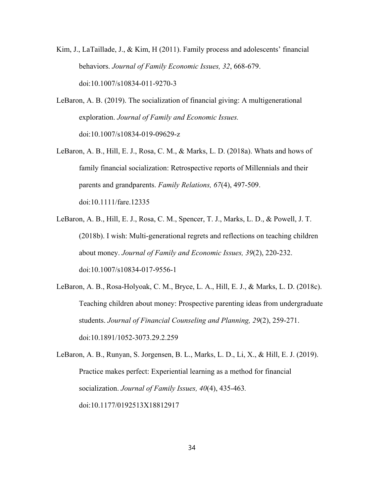- Kim, J., LaTaillade, J., & Kim, H (2011). Family process and adolescents' financial behaviors. *Journal of Family Economic Issues, 32*, 668-679. doi:10.1007/s10834-011-9270-3
- LeBaron, A. B. (2019). The socialization of financial giving: A multigenerational exploration. *Journal of Family and Economic Issues.*  doi:10.1007/s10834-019-09629-z
- LeBaron, A. B., Hill, E. J., Rosa, C. M., & Marks, L. D. (2018a). Whats and hows of family financial socialization: Retrospective reports of Millennials and their parents and grandparents. *Family Relations, 67*(4), 497-509. doi:10.1111/fare.12335
- LeBaron, A. B., Hill, E. J., Rosa, C. M., Spencer, T. J., Marks, L. D., & Powell, J. T. (2018b). I wish: Multi-generational regrets and reflections on teaching children about money. *Journal of Family and Economic Issues, 39*(2), 220-232. doi:10.1007/s10834-017-9556-1
- LeBaron, A. B., Rosa-Holyoak, C. M., Bryce, L. A., Hill, E. J., & Marks, L. D. (2018c). Teaching children about money: Prospective parenting ideas from undergraduate students. *Journal of Financial Counseling and Planning, 29*(2), 259-271. doi:10.1891/1052-3073.29.2.259
- LeBaron, A. B., Runyan, S. Jorgensen, B. L., Marks, L. D., Li, X., & Hill, E. J. (2019). Practice makes perfect: Experiential learning as a method for financial socialization. *Journal of Family Issues, 40*(4), 435-463*.*  doi:10.1177/0192513X18812917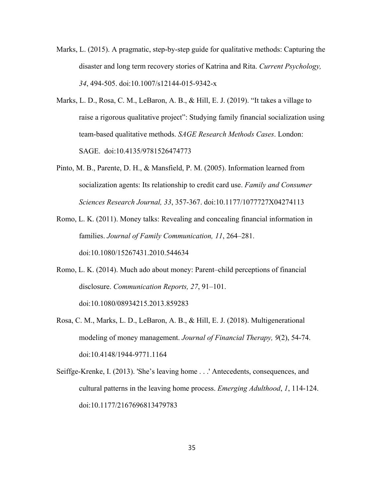- Marks, L. (2015). A pragmatic, step-by-step guide for qualitative methods: Capturing the disaster and long term recovery stories of Katrina and Rita. *Current Psychology, 34*, 494-505. doi:10.1007/s12144-015-9342-x
- Marks, L. D., Rosa, C. M., LeBaron, A. B., & Hill, E. J. (2019). "It takes a village to raise a rigorous qualitative project": Studying family financial socialization using team-based qualitative methods. *SAGE Research Methods Cases*. London: SAGE. doi:10.4135/9781526474773
- Pinto, M. B., Parente, D. H., & Mansfield, P. M. (2005). Information learned from socialization agents: Its relationship to credit card use. *Family and Consumer Sciences Research Journal, 33*, 357-367. doi:10.1177/1077727X04274113
- Romo, L. K. (2011). Money talks: Revealing and concealing financial information in families. *Journal of Family Communication, 11*, 264–281. doi:10.1080/15267431.2010.544634
- Romo, L. K. (2014). Much ado about money: Parent–child perceptions of financial disclosure. *Communication Reports, 27*, 91–101. doi:10.1080/08934215.2013.859283
- Rosa, C. M., Marks, L. D., LeBaron, A. B., & Hill, E. J. (2018). Multigenerational modeling of money management. *Journal of Financial Therapy, 9*(2), 54-74. doi:10.4148/1944-9771.1164
- Seiffge-Krenke, I. (2013). 'She's leaving home . . .' Antecedents, consequences, and cultural patterns in the leaving home process. *Emerging Adulthood*, *1*, 114-124. doi:10.1177/2167696813479783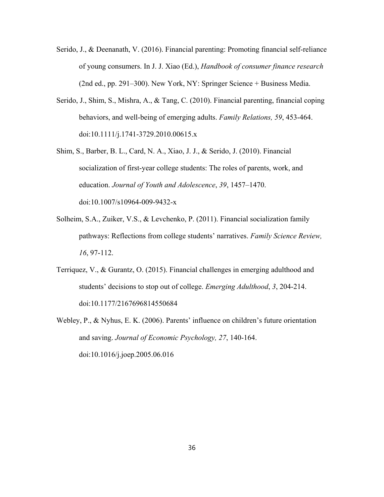- Serido, J., & Deenanath, V. (2016). Financial parenting: Promoting financial self-reliance of young consumers. In J. J. Xiao (Ed.), *Handbook of consumer finance research* (2nd ed., pp. 291–300). New York, NY: Springer Science + Business Media.
- Serido, J., Shim, S., Mishra, A., & Tang, C. (2010). Financial parenting, financial coping behaviors, and well-being of emerging adults. *Family Relations, 59*, 453-464. doi:10.1111/j.1741-3729.2010.00615.x
- Shim, S., Barber, B. L., Card, N. A., Xiao, J. J., & Serido, J. (2010). Financial socialization of first-year college students: The roles of parents, work, and education. *Journal of Youth and Adolescence*, *39*, 1457–1470. doi:10.1007/s10964-009-9432-x
- Solheim, S.A., Zuiker, V.S., & Levchenko, P. (2011). Financial socialization family pathways: Reflections from college students' narratives. *Family Science Review, 16*, 97-112.
- Terriquez, V., & Gurantz, O. (2015). Financial challenges in emerging adulthood and students' decisions to stop out of college. *Emerging Adulthood*, *3*, 204-214. doi:10.1177/2167696814550684
- Webley, P., & Nyhus, E. K. (2006). Parents' influence on children's future orientation and saving. *Journal of Economic Psychology, 27*, 140-164. doi:10.1016/j.joep.2005.06.016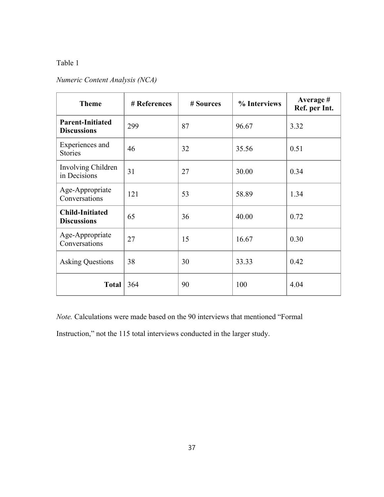# Table 1

# *Numeric Content Analysis (NCA)*

| <b>Theme</b>                                  | # References | # Sources | % Interviews | Average #<br>Ref. per Int. |
|-----------------------------------------------|--------------|-----------|--------------|----------------------------|
| <b>Parent-Initiated</b><br><b>Discussions</b> | 299          | 87        | 96.67        | 3.32                       |
| Experiences and<br><b>Stories</b>             | 46           | 32        | 35.56        | 0.51                       |
| Involving Children<br>in Decisions            | 31           | 27        | 30.00        | 0.34                       |
| Age-Appropriate<br>Conversations              | 121          | 53        | 58.89        | 1.34                       |
| <b>Child-Initiated</b><br><b>Discussions</b>  | 65           | 36        | 40.00        | 0.72                       |
| Age-Appropriate<br>Conversations              | 27           | 15        | 16.67        | 0.30                       |
| <b>Asking Questions</b>                       | 38           | 30        | 33.33        | 0.42                       |
| Total                                         | 364          | 90        | 100          | 4.04                       |

*Note.* Calculations were made based on the 90 interviews that mentioned "Formal

Instruction," not the 115 total interviews conducted in the larger study.